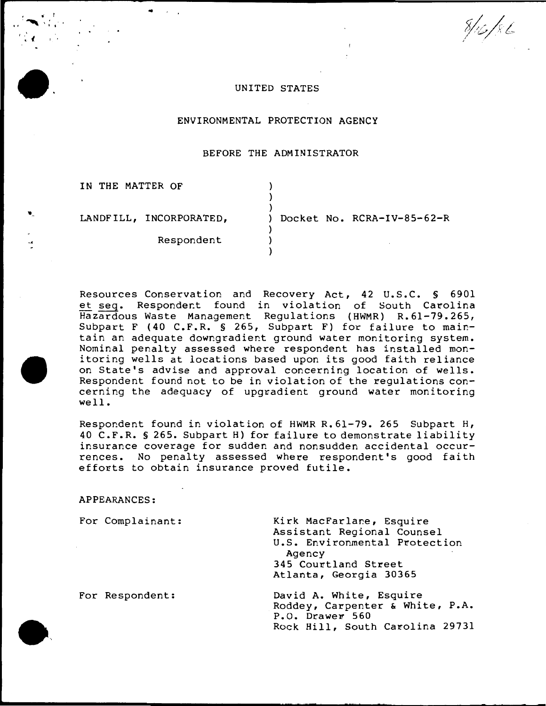$8/16/86$ 

### UNITED STATES

### ENVIRONMENTAL PROTECTION AGENCY

## BEFORE THE ADMINISTRATOR

| IN THE MATTER OF        |                            |
|-------------------------|----------------------------|
| LANDFILL, INCORPORATED, | Docket No. RCRA-IV-85-62-R |
| Respondent              |                            |

Resources Conservation and Recovery Act, 42 U.S.C. § 6901 et seq. Respondent found in violation of South Carolina Hazardous Waste Management Regulations (HWMR) R.61-79.265, Subpart F (40 C.F.R. § 265, Subpart F) for failure to maintain an adequate downgradient ground water monitoring system. Nominal penalty assessed where respondent has installed monitoring wells at locations based upon its good faith reliance on State's advise and approval concerning location of wells. Respondent found not to be in violation of the regulations concerning the adequacy of upgradient ground water monitoring well.

Respondent found in violation of HWMR R.61-79. 265 Subpart H, 40 C.F.R. § 265. Subpart H) for failure to demonstrate liability insurance coverage for sudden and nonsudden accidental occurrences. No penalty assessed where respondent's good faith efforts to obtain insurance proved futile.

## APPEARANCES:

..

 $\blacksquare$ 

| For Complainant: | Kirk MacFarlane, Esquire<br>Assistant Regional Counsel<br>U.S. Environmental Protection<br>Agency<br>345 Courtland Street<br>Atlanta, Georgia 30365 |
|------------------|-----------------------------------------------------------------------------------------------------------------------------------------------------|
| For Respondent:  | David A. White, Esquire<br>Roddey, Carpenter & White, P.A.<br>P.O. Drawer 560<br>Rock Hill, South Carolina 29731                                    |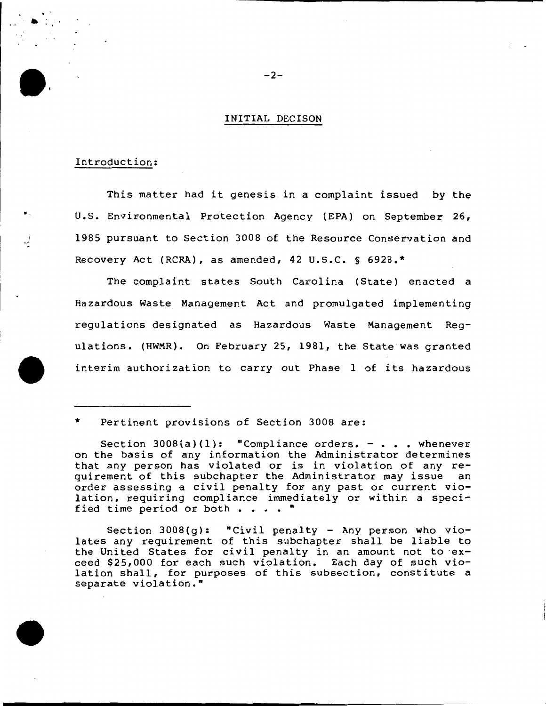## INITIAL DECISON

### Introduction:

. :  $\bullet$  .

•

• .l

This matter had it genesis in a complaint issued by the u.s. Environmental Protection Agency (EPA) on September 26, 1985 pursuant to Section 3008 of the Resource Conservation and Recovery Act (RCRA), as amended, 42 U.S.C. § 6928.\*

The complaint states South Carolina (State) enacted a Hazardous Waste Management Act and promulgated implementing regulations designated as Hazardous Waste Management Regulations. (HWMR). On February 25, 1981, the State was granted interim authorization to carry out Phase 1 of its hazardous

## \* Pertinent provisions of Section 3008 are:

Section  $3008(q)$ : "Civil penalty - Any person who violates any requirement of this subchapter shall be liable to the United States for civil penalty in an amount not to exceed \$25,000 for each such violation. Each day of such violation shall, for purposes of this subsection, constitute a separate violation."

 $-2-$ 

Section  $3008(a)(1)$ : "Compliance orders. - . . . whenever on the basis of any information the Administrator determines that any person has violated or is in violation of any requirement of this subchapter the Administrator may issue an order assessing a civil penalty for any past or current violation, requiring compliance immediately or within a specified time period or both  $\cdots$  .  $\cdots$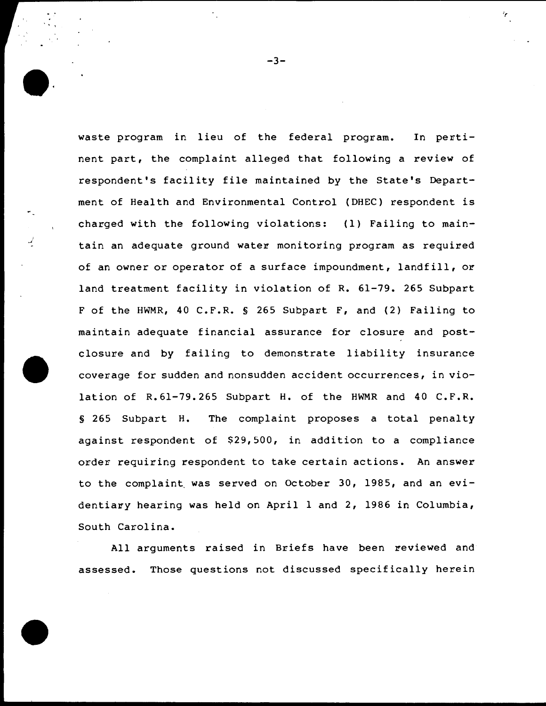waste program in lieu of the federal program. In pertinent part, the complaint alleged that following a review of respondent's facility file maintained by the State's Department of Health and Environmental Control (DHEC) respondent is charged with the following violations: (1) Failing to maintain an adequate ground water monitoring program as required of an owner or operator of a surface impoundment, landfill, or land treatment facility in violation of R. 61-79. 265 Subpart F of the HWMR, 40 C.F.R. § 265 Subpart F, and (2) Failing to maintain adequate financial assurance for closure and postclosure and by failing to demonstrate liability insurance coverage for sudden and nonsudden accident occurrences, in violation of R.61-79.265 Subpart H. of the HWMR and 40 C.F.R. § 265 Subpart H. The complaint proposes a total penalty against respondent of \$29,500, in addition to a compliance order requiring respondent to take certain actions. An answer to the complaint. was served on October 30, 1985, and an evidentiary hearing was held on April 1 and 2, 1986 in Columbia, South Carolina.

I *.J* 

' '

All arguments raised in Briefs have been reviewed and assessed. Those questions not discussed specifically herein

 $-3-$ 

ł,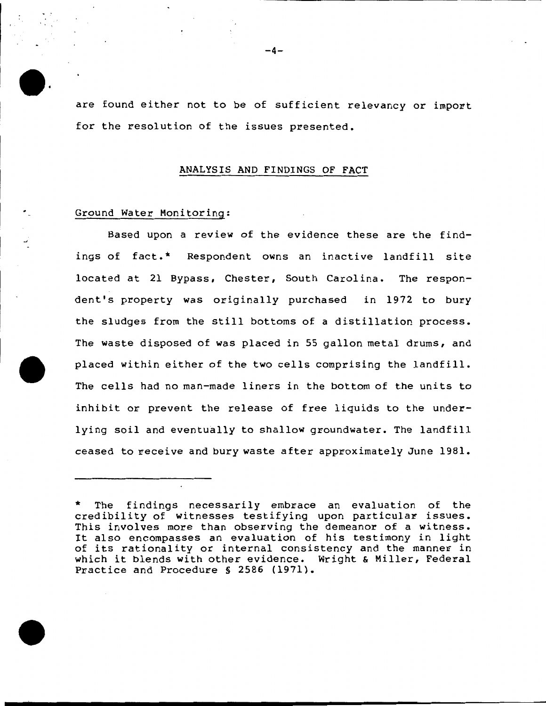are found either not to be of sufficient relevancy or import for the resolution of the issues presented.

#### ANALYSIS AND FINDINGS OF FACT

### Ground Water Monitoring:

 $:$   $\cdot$ 

Based upon a review of the evidence these are the findings of fact.\* Respondent owns an inactive landfill site located at 21 Bypass, Chester, South Carolina. The respondent's property was originally purchased in 1972 to bury the sludges from the still bottoms of a distillation process. The waste disposed of was placed in 55 gallon metal drums, and placed within either of the two cells comprising the landfill. The cells had no man-made liners in the bottom of the units to inhibit or prevent the release of free liquids to the underlying soil and eventually to shallow groundwater. The landfill ceased to receive and bury waste after approximately June 1981.

The findings necessarily embrace an evaluation of the credibility of witnesses testifying upon particular issues. This involves more than observing the demeanor of a witness. It also encompasses an evaluation of his testimony in light of its rationality or internal consistency and the manner in which it blends with other evidence. Wright & Miller, Federal Practice and Procedure § 2586 (1971).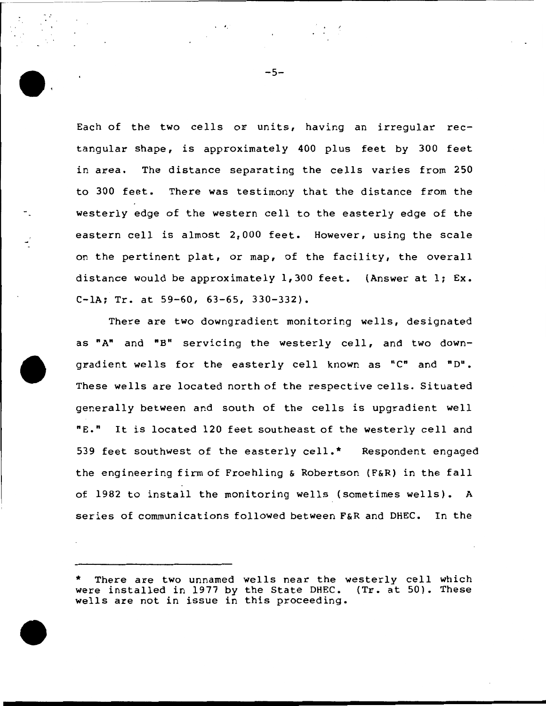Each of the two cells or units, having an irregular rectangular shape, is approximately 400 plus feet by 300 feet in area. The distance separating the cells varies from 250 to 300 feet. There was testimony that the distance from the westerly edge of the western cell to the easterly edge of the eastern cell is almost 2,000 feet. However, using the scale on the pertinent plat, or map, of the facility, the overall distance would be approximately  $1,300$  feet. (Answer at  $1; Ex.$ C-lA; Tr. at 59-60, 63-65, 330-332).

There are two downgradient monitoring wells, designated as "A" and "B" servicing the westerly cell, and two downgradient wells for the easterly cell known as "C" and "D". These wells are located north of the respective cells. Situated generally between and south of the cells is upgradient well "E." It is located 120 feet southeast of the westerly cell and 539 feet southwest of the easterly cell.\* Respondent engaged the engineering firm of Froehling & Robertson (F&R) in the fall of 1982 to install the monitoring wells (sometimes wells). A series of communications followed between F&R and DHEC. In the



'.

<sup>\*</sup> There are two unnamed wells near the westerly cell which were installed in 1977 by the State DHEC. (Tr. at 50). These wells are not in issue in this proceeding.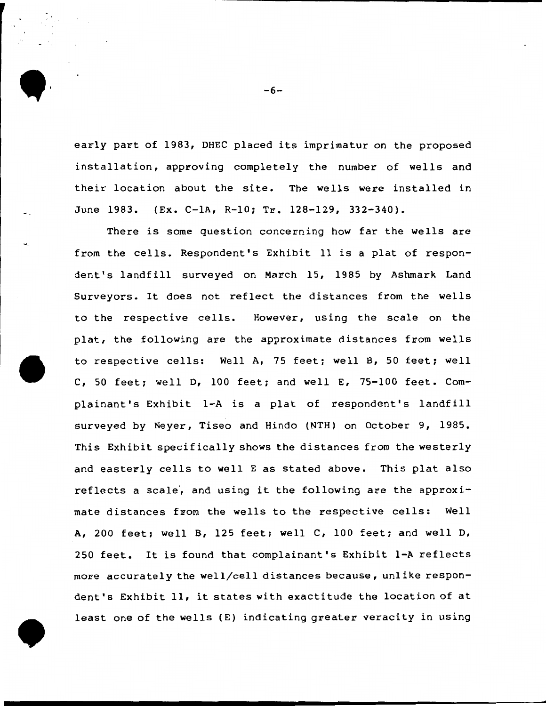early part of 1983, DHEC placed its imprimatur on the proposed installation, approving completely the number of wells and their location about the site. The wells were installed in June 1983. (Ex. C-1A, R-10; Tr. 128-129, 332-340).

There is some question concerning how far the wells are from the cells. Respondent's Exhibit 11 is a plat of respondent's landfill surveyed on March 15, 1985 by Ashmark Land Surveyors. It does not reflect the distances from the wells to the respective cells. However, using the scale on the plat, the following are the approximate distances from wells to respective cells: Well A, 75 feet; well B, 50 feet; well C, 50 feet; well D, 100 feet; and well E, 75-100 feet. Complainant's Exhibit 1-A is a plat of respondent's landfill surveyed by Neyer, Tiseo and Hindo (NTH) on October 9, 1985. This Exhibit specifically shows the distances from the westerly and easterly cells to well E as stated above. This plat also reflects a scale, and using it the following are the approximate distances from the wells to the respective cells: Well A, 200 feet; well B, 125 feet; well C, 100 feet; and well D, 250 feet. It is found that complainant's Exhibit 1-A reflects more accurately the well/cell distances because, unlike respondent's Exhibit 11, it states with exactitude the location of at least one of the wells (E) indicating greater veracity in using

-6-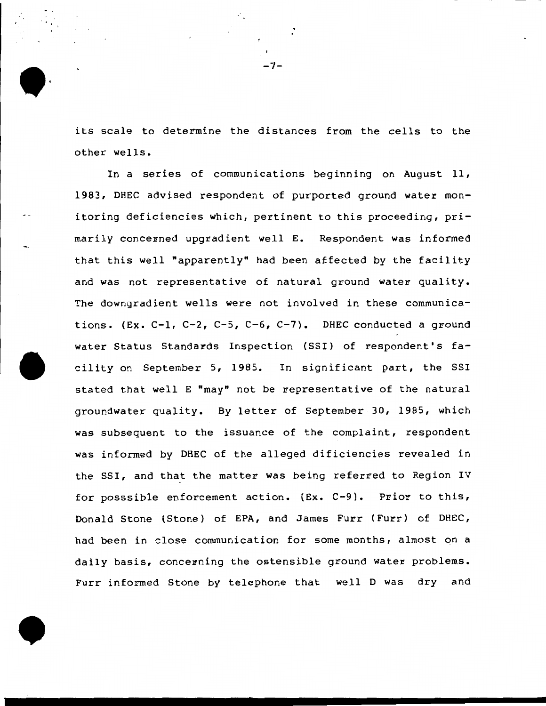its scale to determine the distances from the cells to the other wells.

-7-

In a series of communications beginning on August 11, 1983, DHEC advised respondent of purported ground water monitoring deficiencies which, pertinent to this proceeding, primarily concerned upgradient well E. Respondent was informed that this well "apparently" had been affected by the facility and was not representative of natural ground water quality. The downgradient wells were not involved in these communications. (Ex. C-1, C-2, C-5, C-6, C-7). DHEC conducted a ground water Status Standards Inspection (SSI) of respondent's facility on September 5, 1985. In significant part, the SSI stated that well E "may" not be representative of the natural groundwater quality. By letter of September 30, 1985, which was subsequent to the issuance of the complaint, respondent was informed by DHEC of the alleged dificiencies revealed in the SSI, and that the matter was being referred to Region IV for posssible enforcement action. (Ex. C-9). Prior to this, Donald Stone (Stone) of EPA, and James Furr (Furr) of DHEC, had been in close communication for some months, almost on a daily basis, concerning the ostensible ground water problems. Furr informed Stone by telephone that well D was dry and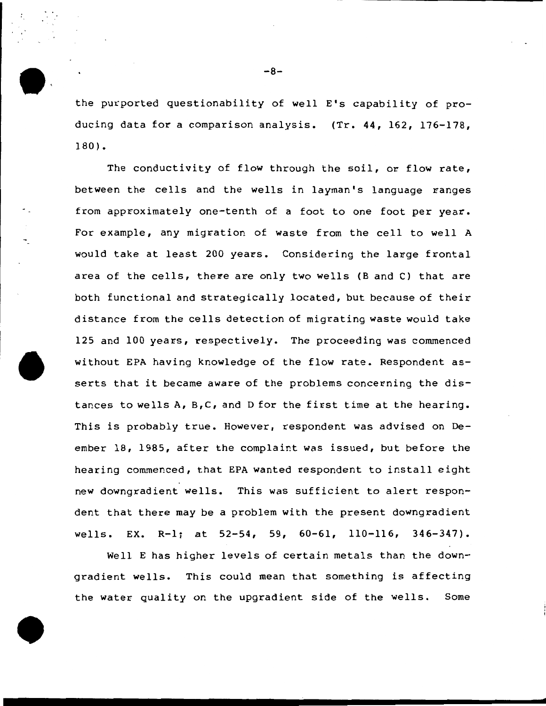the purported questionability of well E's capability of producing data for a comparison analysis. (Tr. 44, 162, 176-178, 180).

The conductivity of flow through the soil, or flow rate, between the cells and the wells in layman's language ranges from approximately one-tenth of a foot to one foot per year. For example, any migration of waste from the cell to well A would take at least 200 years. Considering the large frontal area of the cells, there are only two wells (B and C) that are both functional and strategically located, but because of their distance from the cells detection of migrating waste would take 125 and 100 years, respectively. The proceeding was commenced without EPA having knowledge of the flow rate. Respondent asserts that it became aware of the problems concerning the distances to wells A, B,C, and D for the first time at the hearing. This is probably true. However, respondent was advised on Deember 18, 1985, after the complaint was issued, but before the hearing commenced, that EPA wanted respondent to install eight new downgradient wells. This was sufficient to alert respondent that there may be a problem with the present downgradient wells. EX. R-1; at 52-54, 59, 60-61, 110-116, 346-347).

Well E has higher levels of certain metals than the downgradient wells. This could mean that something is affecting the water quality on the upgradient side of the wells. Some

-8-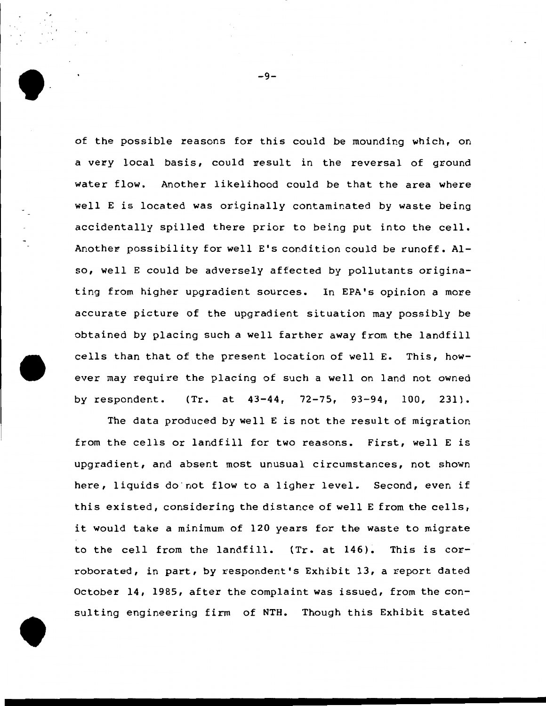of the possible reasons for this could be mounding which, on a very local basis, could result in the reversal of ground water flow. Another likelihood could be that the area where well E is located was originally contaminated by waste being accidentally spilled there prior to being put into the cell. Another possibility for well  $E$ 's condition could be runoff. Also, well E could be adversely affected by pollutants originating from higher upgradient sources. In EPA's opinion a more accurate picture of the upgradient situation may possibly be obtained by placing such a well farther away from the landfill cells than that of the present location of well E. This, however may require the placing of such a well on land not owned by respondent. (Tr. at 43-44, 72-75, 93-94, 100, 231).

The data produced by well E is not the result of migration from the cells or landfill for two reasons. First, well E is upgradient, and absent most unusual circumstances, not shown here, liquids do not flow to a ligher level. Second, even if this existed, considering the distance of well E from the cells, it would take a minimum of 120 years for the waste to migrate to the cell from the landfill. (Tr. at 146). This is corroborated, in part, by respondent's Exhibit 13, a report dated October 14, 1985, after the complaint was issued, from the consulting engineering firm of NTH. Though this Exhibit stated

-9-

. ..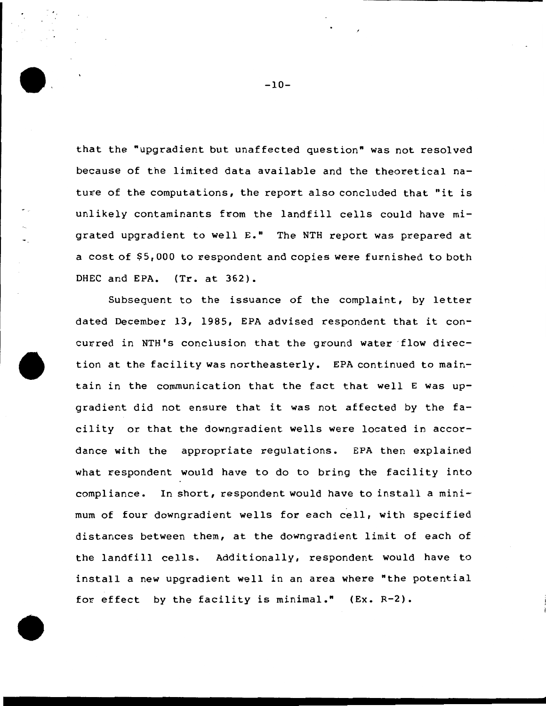that the "upgradient but unaffected question" was not resolved because of the limited data available and the theoretical nature of the computations, the report also concluded that "it is unlikely contaminants from the landfill cells could have migrated upgradient to well E." The NTH report was prepared at a cost of \$5,000 to respondent and copies were furnished to both DHEC and EPA. (Tr. at 362).

Subsequent to the issuance of the complaint, by letter dated December 13, 1985, EPA advised respondent that it concurred in NTH's conclusion that the ground water flow direction at the facility was northeasterly. EPA continued to maintain in the communication that the fact that well E was upgradient did not ensure that it was not affected by the facility or that the downgradient wells were located in accordance with the appropriate regulations. EPA then explained what respondent would have to do to bring the facility into compliance. In short, respondent would have to install a minimum of four downgradient wells for each cell, with specified distances between them, at the downgradient limit of each of the landfill cells. Additionally, respondent would have to install a new upgradient well in an area where "the potential for effect by the facility is minimal." {Ex. R-2).

-10-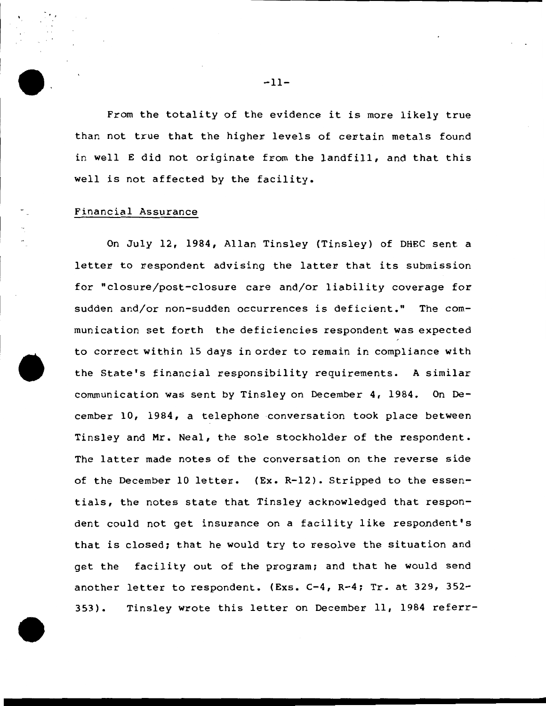From the totality of the evidence it is more likely true than not true that the higher levels of certain metals found in well E did not originate from the landfill, and that this well is not affected by the facility.

## Financial Assurance

''

On July 12, 1984, Allan Tinsley (Tinsley) of DHEC sent a letter to respondent advising the latter that its submission for "closure/post-closure care and/or liability coverage for sudden and/or non-sudden occurrences is deficient." The communication set forth the deficiencies respondent was expected to correct within 15 days in order to remain in compliance with the State's financial responsibility requirements. A similar communication was sent by Tinsley on December 4, 1984. On December 10, 1984, a telephone conversation took place between Tinsley and Mr. Neal, the sole stockholder of the respondent. The latter made notes of the conversation on the reverse side of the December 10 letter. (Ex. R-12). Stripped to the essentials, the notes state that Tinsley acknowledged that respondent could not get insurance on a facility like respondent's that is closed; that he would try to resolve the situation and get the facility out of the program; and that he would send another letter to respondent. (Exs. C-4, R-4; Tr. at 329, 352- 353). Tinsley wrote this letter on December 11, 1984 referr-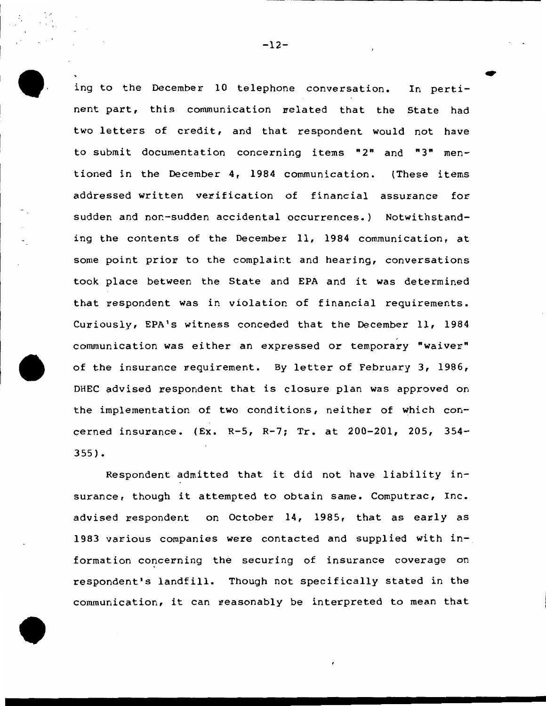ing to the December 10 telephone conversation. In pertinent part, this communication related that the State had two letters of credit, and that respondent would not have to submit documentation concerning items "2" and "3" mentioned in the December 4, 1984 communication. (These items addressed written verification of financial assurance for sudden and nor-sudden accidental occurrences.) Notwithstanding the contents of the December 11, 1984 communication, at some point prior to the complaint and hearing, conversations took. place between the State and EPA and it was determined that respondent was in violation of financial requirements. Curiously, EPA's witness conceded that the December 11, 1984 communication was either an expressed or temporary "waiver" of the insurance requirement. By letter of February 3, 1986, DHEC advised respondent that is closure plan was approved on the implementation of two conditions, neither of which concerned insurance. (Ex. R-5, R-7; Tr. at 200-201, 205, 354- 355).

Respondent admitted that it did not have liability insurance, though it attempted to obtain same. Computrac, Inc. advised respondent on October 14, 1985, that as early as 1983 various companies were contacted and supplied with  $in$ formation concerning the securing of insurance coverage on respondent's landfill. Though not specifically stated in the communication, it can reasonably be interpreted to mean that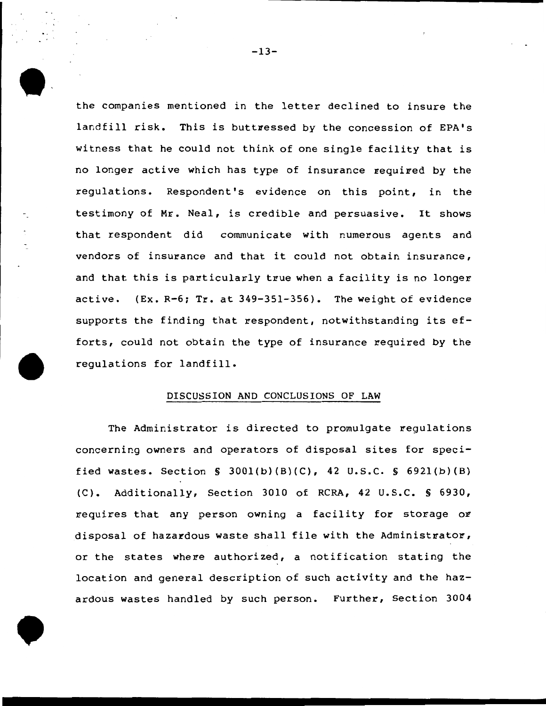the companies mentioned in the letter declined to insure the landfill risk. This is buttressed by the concession of EPA's witness that he could not think of one single facility that is no longer active which has type of insurance required by the regulations. Respondent's evidence on this point, in the testimony of Mr. Neal, is credible and persuasive. It shows that respondent did communicate with numerous agents and vendors of insurance and that it could not obtain insurance, and that this is particularly true when a facility is no longer active. (Ex. R-6: Tr. at 349-351-356). The weight of evidence supports the finding that respondent, notwithstanding its efforts, could not obtain the type of insurance required by the regulations for landfill.

#### DISCUSSION AND CONCLUSIONS OF LAW

The Administrator is directed to promulgate regulations concerning owners and operators of disposal sites for specified wastes. Section§ 300l(b)(B)(C), 42 u.s.c. § 692l(b)(B) (C). Additionally, Section 3010 of RCRA, 42 u.s.c. § 6930, requires that any person owning a facility for storage or disposal of hazardous waste shall file with the Administrator, or the states where authorized, a notification stating the location and general description of such activity and the hazardous wastes handled by such person. Further, Section 3004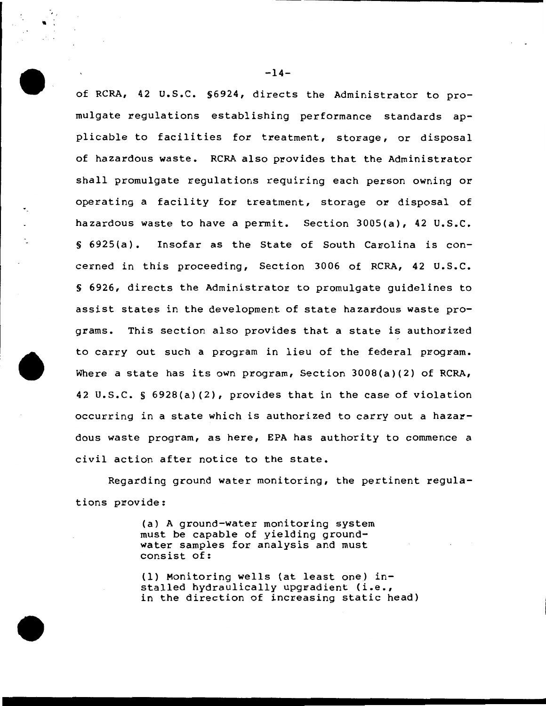of RCRA, 42 u.s.c. §6924, directs the Administrator to promulgate regulations establishing performance standards applicable to facilities for treatment, storage, or disposal of hazardous waste. RCRA also provides that the Administrator shall promulgate regulations requiring each person owning or operating a facility for treatment, storage or disposal of hazardous waste to have a permit. Section 3005(a), 42 U.S.C.  $\S$  6925(a). Insofar as the State of South Carolina is concerned in this proceeding, Section 3006 of RCRA, 42 u.s.c. § 6926, directs the Administrator to promulgate guidelines to assist states in the development of state hazardous waste programs. This section also provides that a state is authorized to carry out such a program in lieu of the federal program. Where a state has its own program, Section 3008(a)(2) of RCRA, 42 u.s.c. § 6928(a)(2), provides that in the case of violation occurring in a state which is authorized to carry out a hazardous waste program, as here, EPA has authority to commence a civil action after notice to the state.

Regarding ground water monitoring, the pertinent regulations provide:

> (a) A ground-water monitoring system must be capable of yielding groundwater samples for analysis and must consist of:

(1) Monitoring wells (at least one) installed hydraulically upgradient (i.e., in the direction of increasing static head)

 $-14-$ 

′.′  $\blacksquare$  :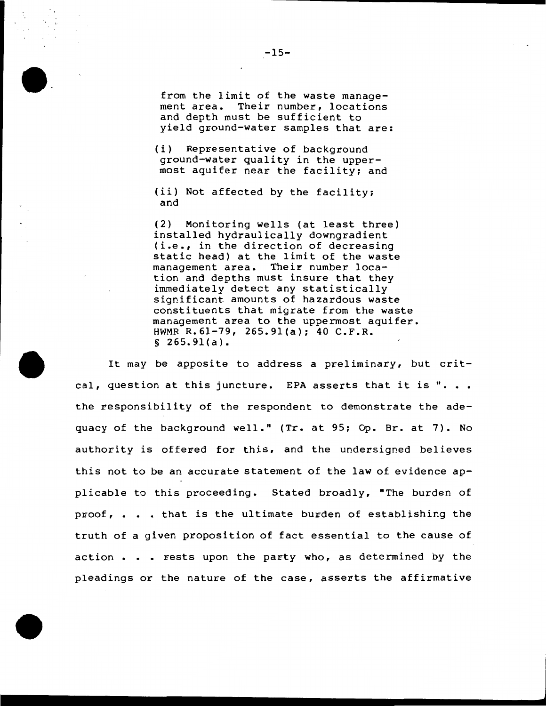from the limit of the waste management area. Their number, locations and depth must be sufficient to yield ground-water samples that are:

(i) Representative of background ground-water quality in the uppermost aquifer near the facility: and

(ii) Not affected by the facility: and

(2) Monitoring wells (at least three) installed hydraulically downgradient (i.e., in the direction of decreasing static head) at the limit of the waste<br>management area. Their number loca-Their number location and depths must insure that they immediately detect any statistically significant amounts of hazardous waste constituents that migrate from the waste management area to the uppermost aquifer. HWMR R.61-79, 265.9l(a): 40 C.F.R. § 265.9l(a).

It may be apposite to address a preliminary, but critcal, question at this juncture. EPA asserts that it is "... the responsibility of the respondent to demonstrate the adequacy of the background well." (Tr. at 95: Op. Br. at 7). No authority is offered for this, and the undersigned believes this not to be an accurate statement of the law of evidence applicable to this proceeding. Stated broadly, "The burden of proof, • • • that is the ultimate burden of establishing the truth of a given proposition of fact essential to the cause of action . . . rests upon the party who, as determined by the pleadings or the nature of the case, asserts the affirmative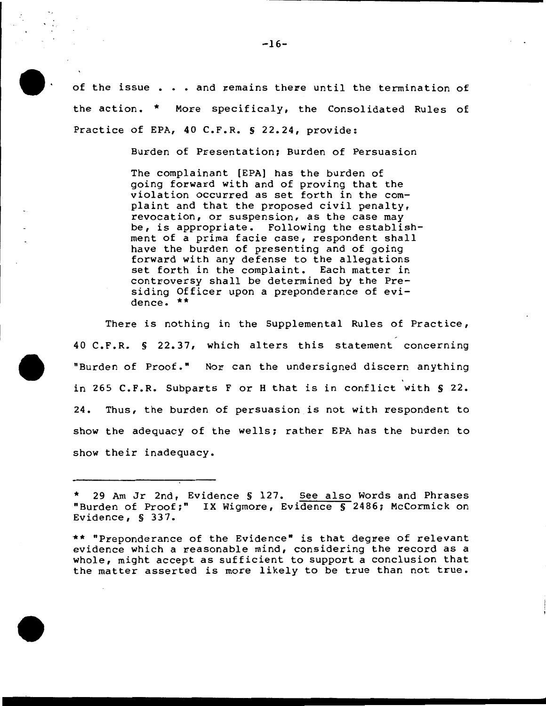of the issue . . . and remains there until the termination of the action. \* More specificaly, the Consolidated Rules of Practice of EPA, 40 C.F.R. § 22.24, provide:

Burden of Presentation; Burden of Persuasion

The complainant [EPA] has the burden of going forward with and of proving that the violation occurred as set forth in the complaint and that the proposed civil penalty, revocation, or suspension, as the case may be, is appropriate. Following the establishment of a prima facie case, respondent shall have the burden of presenting and of going forward with any defense to the allegations set forth in the complaint. Each matter in controversy shall be determined by the Presiding Officer upon a preponderance of evidence. \*\*

There is nothing in the Supplemental Rules of Practice, 40 C.F.R. S 22.37, which alters this statement concerning "Burden of Proof.• Nor can the undersigned discern anything in 265 C.F.R. Subparts F or H that is in conflict with § 22. 24. Thus, the burden of persuasion is not with respondent to show the adequacy of the wells; rather EPA has the burden to show their inadequacy.



<sup>\*</sup> 29 Am Jr 2nd, Evidence S 127. See also Words and Phrases "Burden of Proof;" IX Wigmore, Evidence S 2486; McCormick on Evidence, S 337.

<sup>\*\*</sup> "Preponderance of the Evidence• is that degree of relevant evidence which a reasonable mind, considering the record as a whole, might accept as sufficient to support a conclusion that the matter asserted is more likely to be true than not true.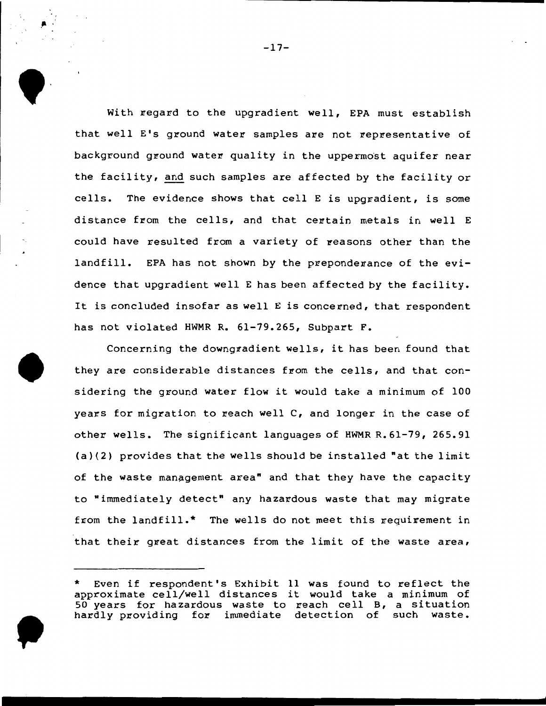With regard to the upgradient well, EPA must establish that well E's ground water samples are not representative of background ground water quality in the uppermost aquifer near the facility, and such samples are affected by the facility or cells. The evidence shows that cell  $E$  is upgradient, is some distance from the cells, and that certain metals in well E could have resulted from a variety of reasons other than the landfill. EPA has not shown by the preponderance of the evidence that upgradient well E has been affected by the facility. It is concluded insofar as well E is concerned, that respondent has not violated HWMR R. 61-79.265, Subpart F.

Concerning the downgradient wells, it has been found that they are considerable distances from the cells, and that considering the ground water flow it would take a minimum of 100 years for migration to reach well  $C$ , and longer in the case of other wells. The significant languages of HWMR R.61-79, 265.91  $(a)(2)$  provides that the wells should be installed "at the limit of the waste management area" and that they have the capacity to "immediately detect" any hazardous waste that may migrate from the landfill.\* The wells do not meet this requirement in that their great distances from the limit of the waste area,

 $\bullet$   $\frac{1}{2}$ 

Even if respondent's Exhibit 11 was found to reflect the approximate cell/well distances it would take a minimum of 50 years for hazardous waste to reach cell B, a situation hardly providing for immediate detection of such waste.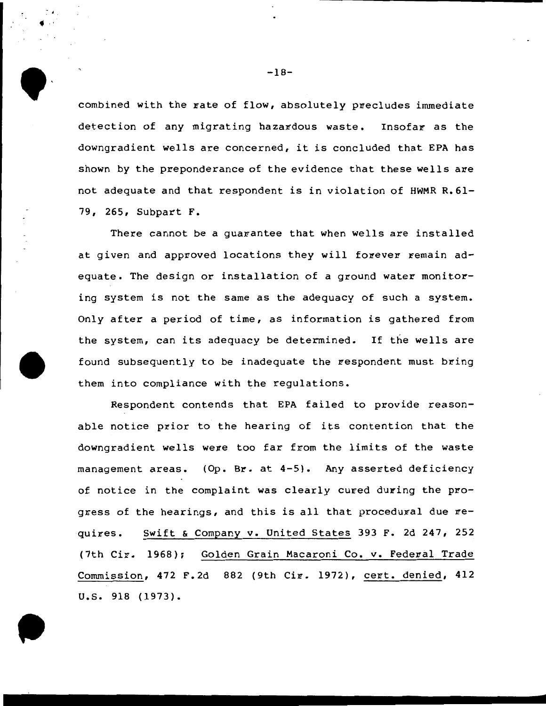combined with the rate of flow, absolutely precludes immediate detection of any migrating hazardous waste. Insofar as the downgradient wells are concerned, it is concluded that EPA has shown by the preponderance of the evidence that these wells are not adequate and that respondent is in violation of HWMR R.61- 79, 265, Subpart F.

There cannot be a quarantee that when wells are installed at given and approved locations they will forever remain adequate. The design or installation of a ground water monitoring system is not the same as the adequacy of such a system. Only after a period of time, as information is gathered from the system, can its adequacy be determined. If the wells are found subsequently to be inadequate the respondent must bring them into compliance with the regulations.

Respondent contends that EPA failed to provide reasonable notice prior to the hearing of its contention that the downgradient wells were too far from the limits of the waste management areas. (Op. Br. at 4-5). Any asserted deficiency of notice in the complaint was clearly cured during the progress of the hearings, and this is all that procedural due  $re$ quires. Swift & Company v. United States 393 F. 2d 247, 252 (7th Cir. 1968); Golden Grain Macaroni Co. v. Federal Trade Commission, 472 F.2d 882 (9th Cir. 1972), cert. denied, 412 u.s. 918 (1973).



 $\begin{pmatrix} 1 & 1 \\ 1 & 1 \\ 1 & 1 \end{pmatrix}$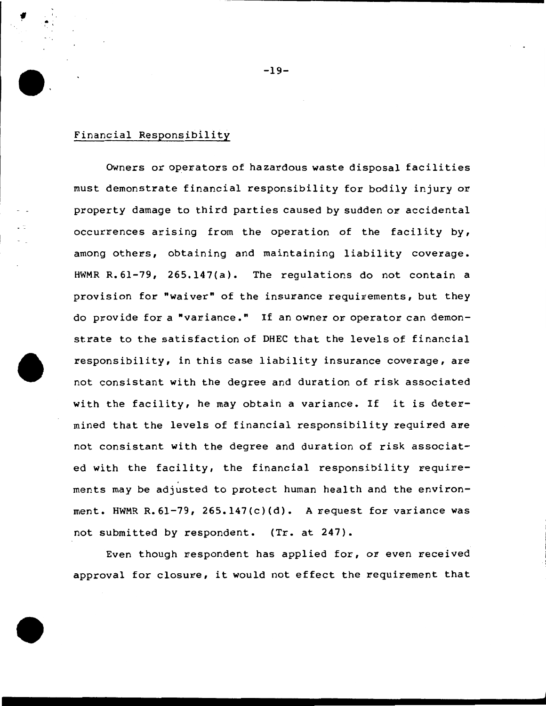## Financial Responsibility

 $\frac{1}{\sqrt{2}}$ 

Owners or operators of hazardous waste disposal facilities must demonstrate financial responsibility for bodily injury or property damage to third parties caused by sudden or accidental occurrences arising from the operation of the facility by, among others, obtaining and maintaining liability coverage. HWMR R.61-79, 265.147(a). The regulations do not contain a provision for "waiver" of the insurance requirements, but they do provide for a "variance." If an owner or operator can demonstrate to the satisfaction of DHEC that the levels of financial responsibility, in this case liability insurance coverage, are not consistant with the degree and duration of risk associated with the facility, he may obtain a variance. If it is determined that the levels of financial responsibility required are not consistant with the degree and duration of risk associated with the facility, the financial responsibility requirements may be adjusted to protect human health and the environment. HWMR R.61-79, 265.147(c)(d). A request for variance was not submitted by respondent. (Tr. at 247).

Even though respondent has applied for, or even received approval for closure, it would not effect the requirement that

-19-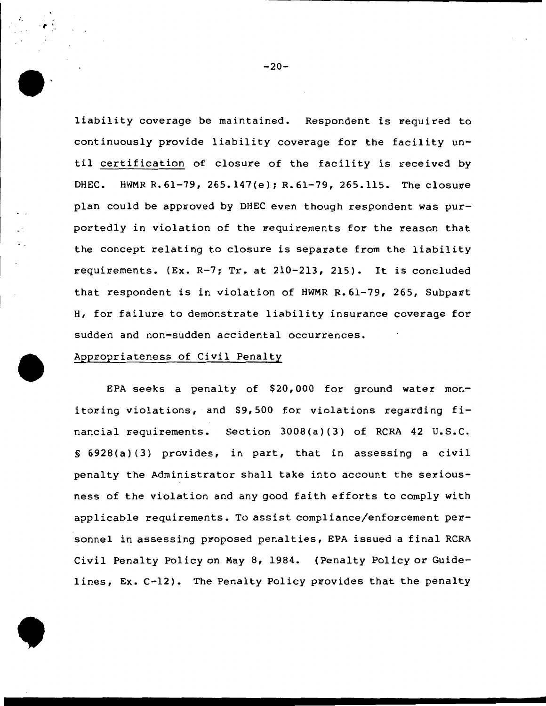liability coverage be maintained. Respondent is required to continuously provide liability coverage for the facility until certification of closure of the facility is received by DHEC. HWMR R.61-79, 265.147(e); R.61-79, 265.115. The closure plan could be approved by DHEC even though respondent was purportedly in violation of the requirements for the reason that the concept relating to closure is separate from the liability requirements. (Ex. R-7; Tr. at 210-213, 215). It is concluded that respondent is in violation of HWMR R.61-79, 265, Subpart H, for failure to demonstrate liability insurance coverage for sudden and non-sudden accidental occurrences.

# Appropriateness of Civil Penalty

EPA seeks a penalty of \$20,000 for ground water monitoring violations, and \$9,500 for violations regarding financial requirements. Section 3008(a)(3) of RCRA 42 U.S.C. § 6928(a) (3) provides, in part, that in assessing a civil penalty the Administrator shall take into account the seriousness of the violation and any good faith efforts to comply with applicable requirements. To assist compliance/enforcement personnel in assessing proposed penalties, EPA issued a final RCRA Civil Penalty Policy on May 8, 1984. (Penalty Policy or Guidelines, Ex. C-12). The Penalty Policy provides that the penalty



. ,  $\cdot$  ,  $\cdot$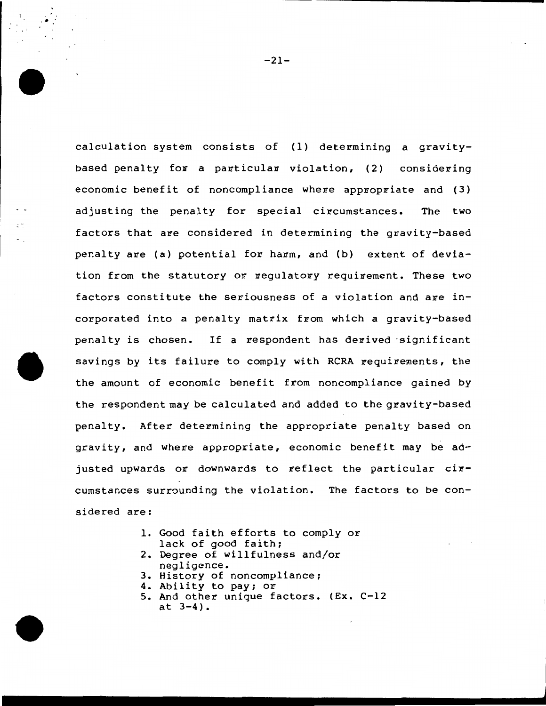calculation system consists of (1) determining a gravitybased penalty for a particular violation,  $(2)$  considering economic benefit of noncompliance where appropriate and  $(3)$ adjusting the penalty for special circumstances. The two factors that are considered in determining the gravity-based penalty are (a) potential for harm, and (b) extent of deviation from the statutory or regulatory requirement. These two factors constitute the seriousness of a violation and are incorporated into a penalty matrix from which a gravity-based penalty is chosen. If a respondent has derived significant savings by its failure to comply with RCRA requirements, the the amount of economic benefit from noncompliance gained by the respondent may be calculated and added to the gravity-based penalty. After determining the appropriate penalty based on gravity, and where appropriate, economic benefit may be adjusted upwards or downwards to reflect the particular circumstances surrounding the violation. The factors to be considered are:

- 1. Good faith efforts to comply or lack of good faith;
- 2. Degree of willfulness and/or negligence.
- 3. History of noncompliance;
- 4. Ability to pay; or
- 5. And other unique factors. (Ex. C-12 at 3-4).

-21-

 $\ddot{\cdot}$ .

 $\mathbb{R}^3$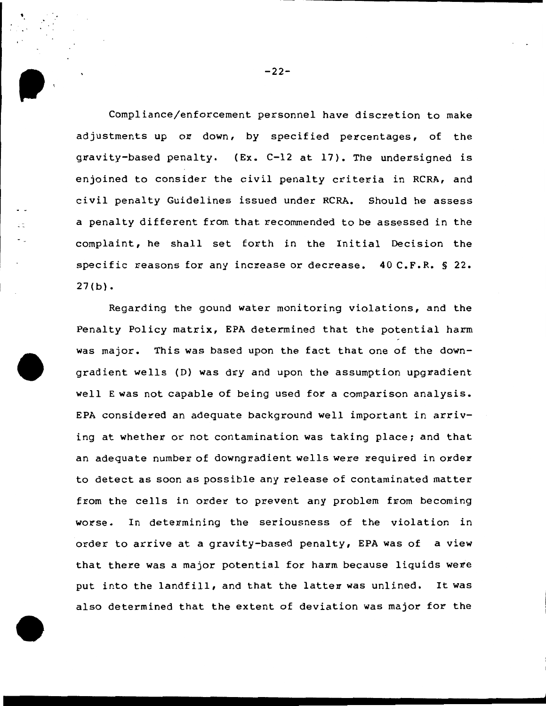Compliance/enforcement personnel have discretion to make adjustments up or down, by specified percentages, of the gravity-based penalty. (Ex. C-12 at 17). The undersigned is enjoined to consider the civil penalty criteria in RCRA, and civil penalty Guidelines issued under RCRA. Should he assess a penalty different from that recommended to be assessed in the complaint, he shall set forth in the Initial Decision the specific reasons for any increase or decrease. 40 C.F.R. § 22.  $27(b)$ .

Regarding the gound water monitoring violations, and the Penalty Policy matrix, EPA determined that the potential harm was major. This was based upon the fact that one of the downgradient wells (D) was dry and upon the assumption upgradient well E was not capable of being used for a comparison analysis. EPA considered an adequate background well important in arriving at whether or not contamination was taking place; and that an adequate number of downgradient wells were required in order to detect as soon as possible any release of contaminated matter from the cells in order to prevent any problem from becoming worse. In determining the seriousness of the violation in order to arrive at a gravity-based penalty, EPA was of a view that there was a major potential for harm because liquids were put into the landfill, and that the latter was unlined. It was also determined that the extent of deviation was major for the

 $-22-$ 

• ,•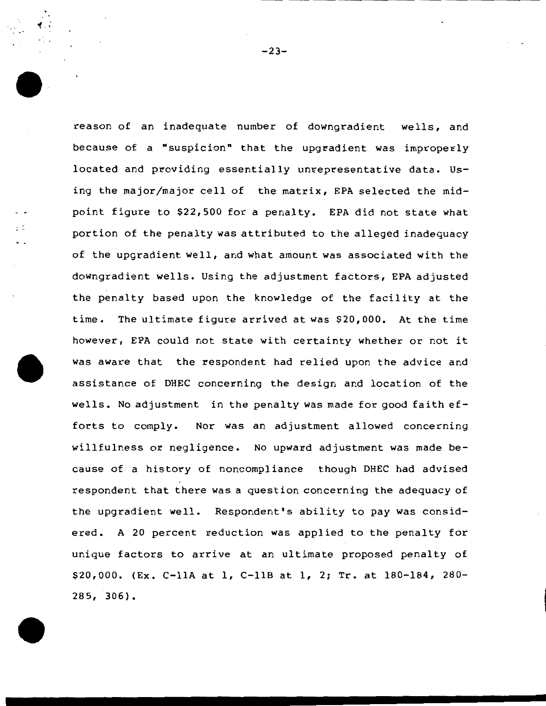reason of an inadequate number of downgradient wells, and because of a "suspicion" that the upgradient was improperly located and providing essentially unrepresentative data. Using the major/major cell of the matrix, EPA selected the midpoint figure to \$22,500 for a penalty. EPA did not state what portion of the penalty was attributed to the alleged inadequacy of the upgradient well, and what amount was associated with the downgradient wells. Using the adjustment factors, EPA adjusted the penalty based upon the knowledge of the facility at the time. The ultimate figure arrived at was \$20,000. At the time however, EPA could not state with certainty whether or not it was aware that the respondent had relied upon the advice and assistance of DHEC concerning the design and location of the wells. No adjustment in the penalty was made for good faith efforts to comply. Nor was an adjustment allowed concerning willfulness or negligence. No upward adjustment was made because of a history of noncompliance though DHEC had advised respondent that there was a question concerning the adequacy of the upgradient well. Respondent's ability to pay was considered. A 20 percent reduction was applied to the penalty for unique factors to arrive at an ultimate proposed penalty of \$20,000. (Ex. e-llA at 1, C-llB at 1, 2; Tr. at 180-184, 280- 285, 306).

..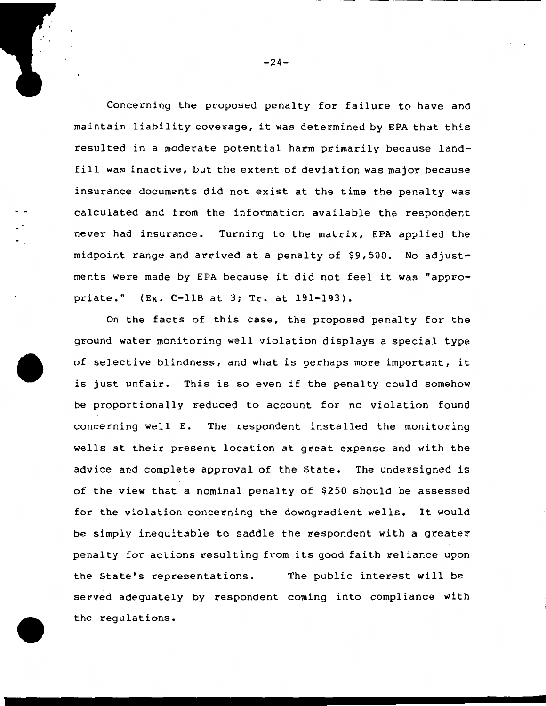Concerning the proposed penalty for failure to have and maintain liability coverage, it was determined by EPA that this resulted in a moderate potential harm primarily because landfill was inactive, but the extent of deviation was major because insurance documents did not exist at the time the penalty was calculated and from the information available the respondent never had insurance. Turning to the matrix, EPA applied the midpoint range and arrived at a penalty of \$9,500. No adjustments were made by EPA because it did not feel it was "appropriate." (Ex. C-llB at 3; Tr. at 191-193).

On the facts of this case, the proposed penalty for the ground water monitoring well violation displays a special type of selective blindness, and what is perhaps more important, it is just unfair. This is so even if the penalty could somehow be proportionally reduced to account for no violation found concerning well E. The respondent installed the monitoring wells at their present location at great expense and with the advice and complete approval of the State. The undersigned is of the view that a nominal penalty of \$250 should be assessed for the violation concerning the downgradient wells. It would be simply inequitable to saddle the respondent with a greater penalty for actions resulting from its good faith veliance upon the State's representations. The public interest will be served adequately by respondent coming into compliance with the regulations.

 $-24-$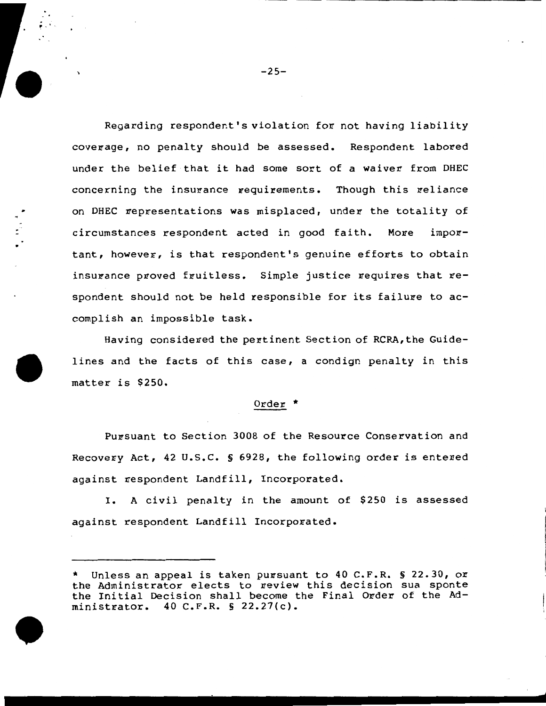Regarding respondent's violation for not having liability coverage, no penalty should be assessed. Respondent labored under the belief that it had some sort of a waiver from DHEC concerning the insurance requirements. Though this reliance on DHEC representations was misplaced, under the totality of circumstances respondent acted in good faith. More impo~ tant, however, is that respondent's genuine efforts to obtain insurance proved fruitless. Simple justice requires that respondent should not be held responsible for its failure to accomplish an impossible task.

Having considered the pertinent Section of RCRA,the Guidelines and the facts of this case, a condign penalty in this matter is \$250.

## Order \*

Pursuant to Section 3008 of the Resource Conservation and Recovery Act, 42 U.S.C. § 6928, the following order is entered against respondent Landfill, Incorporated.

I. A civil penalty in the amount of \$250 is assessed against respondent Landfill Incorporated.

<sup>\*</sup> Unless an appeal is taken pursuant to 40 C.F.R. S 22.30, or the Administrator elects to review this decision sua sponte the Initial Decision shall become the Final Order of the Administrator. 40 C.F.R. § 22.27(c).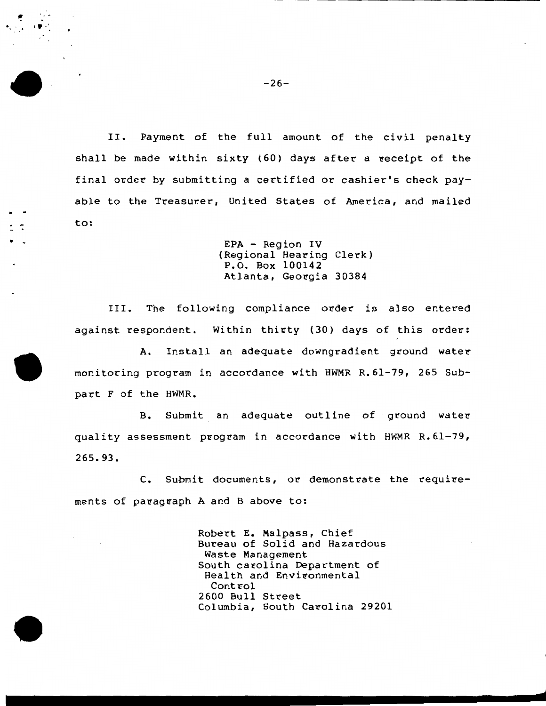II. Payment of the full amount of the civil penalty shall be made within sixty (60) days after a receipt of the final order by submitting a certified or cashier's check payable to the Treasurer, United States of America, and mailed to:

> EPA - Region IV (Regional Hearing Clerk) P.O. Box 100142 Atlanta, Georgia 30384

III. The following compliance order is also entered against respondent. Within thirty (30) days of this order:

A. Install an adequate downgradient ground water monitoring program in accordance with HWMR R.61-79, 265 Subpart F of the HWMR.

B. Submit an adequate outline of ground water quality assessment program in accordance with HWMR R. 61-79, 265.93.

C. Submit documents, or demonstrate the requirements of paragraph A and B above to:

> Robert E. Malpass, Chief Bureau of Solid and Hazardous Waste Management South carolina Department of Health and Environmental Control 2600 Bull Street Columbia, South Carolina 29201

 $\cdot$  ,  $\cdot$  ,  $\cdot$   $\cdot$   $\cdot$ 

•